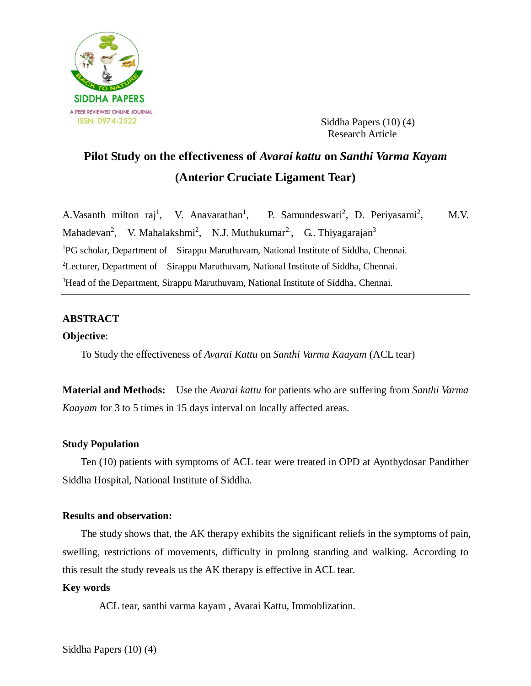

 Siddha Papers (10) (4) Research Article

# **Pilot Study on the effectiveness of** *Avarai kattu* **on** *Santhi Varma Kayam* **(Anterior Cruciate Ligament Tear)**

A.Vasanth milton raj<sup>1</sup>, V. Anavarathan<sup>1</sup> , P. Samundeswari<sup>2</sup>, D. Periyasami<sup>2</sup> M.V. Mahadevan<sup>2</sup>, V. Mahalakshmi<sup>2</sup>, N.J. Muthukumar<sup>2</sup>, G. Thiyagarajan<sup>3</sup> <sup>1</sup>PG scholar, Department of Sirappu Maruthuvam, National Institute of Siddha, Chennai. <sup>2</sup>Lecturer, Department of Sirappu Maruthuvam, National Institute of Siddha, Chennai. <sup>3</sup>Head of the Department, Sirappu Maruthuvam, National Institute of Siddha, Chennai.

# **ABSTRACT**

# **Objective**:

To Study the effectiveness of *Avarai Kattu* on *Santhi Varma Kaayam* (ACL tear)

**Material and Methods:** Use the *Avarai kattu* for patients who are suffering from *Santhi Varma Kaayam* for 3 to 5 times in 15 days interval on locally affected areas.

# **Study Population**

Ten (10) patients with symptoms of ACL tear were treated in OPD at Ayothydosar Pandither Siddha Hospital, National Institute of Siddha.

## **Results and observation:**

The study shows that, the AK therapy exhibits the significant reliefs in the symptoms of pain, swelling, restrictions of movements, difficulty in prolong standing and walking. According to this result the study reveals us the AK therapy is effective in ACL tear.

#### **Key words**

ACL tear, santhi varma kayam , Avarai Kattu, Immoblization.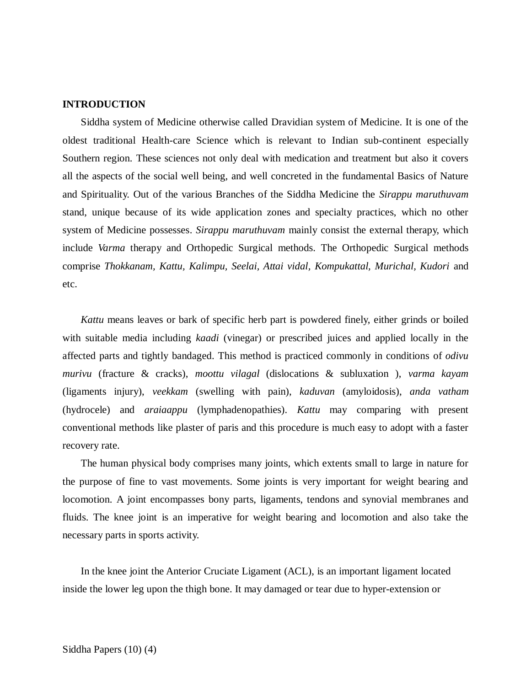## **INTRODUCTION**

Siddha system of Medicine otherwise called Dravidian system of Medicine. It is one of the oldest traditional Health-care Science which is relevant to Indian sub-continent especially Southern region. These sciences not only deal with medication and treatment but also it covers all the aspects of the social well being, and well concreted in the fundamental Basics of Nature and Spirituality. Out of the various Branches of the Siddha Medicine the *Sirappu maruthuvam* stand, unique because of its wide application zones and specialty practices, which no other system of Medicine possesses. *Sirappu maruthuvam* mainly consist the external therapy, which include *Varma* therapy and Orthopedic Surgical methods. The Orthopedic Surgical methods comprise *Thokkanam, Kattu, Kalimpu, Seelai, Attai vidal, Kompukattal, Murichal, Kudori* and etc.

*Kattu* means leaves or bark of specific herb part is powdered finely, either grinds or boiled with suitable media including *kaadi* (vinegar) or prescribed juices and applied locally in the affected parts and tightly bandaged. This method is practiced commonly in conditions of *odivu murivu* (fracture & cracks), *moottu vilagal* (dislocations & subluxation ), *varma kayam* (ligaments injury), *veekkam* (swelling with pain), *kaduvan* (amyloidosis), *anda vatham* (hydrocele) and *araiaappu* (lymphadenopathies). *Kattu* may comparing with present conventional methods like plaster of paris and this procedure is much easy to adopt with a faster recovery rate.

The human physical body comprises many joints, which extents small to large in nature for the purpose of fine to vast movements. Some joints is very important for weight bearing and locomotion. A joint encompasses bony parts, ligaments, tendons and synovial membranes and fluids. The knee joint is an imperative for weight bearing and locomotion and also take the necessary parts in sports activity.

In the knee joint the Anterior Cruciate Ligament (ACL), is an important ligament located inside the lower leg upon the thigh bone. It may damaged or tear due to hyper-extension or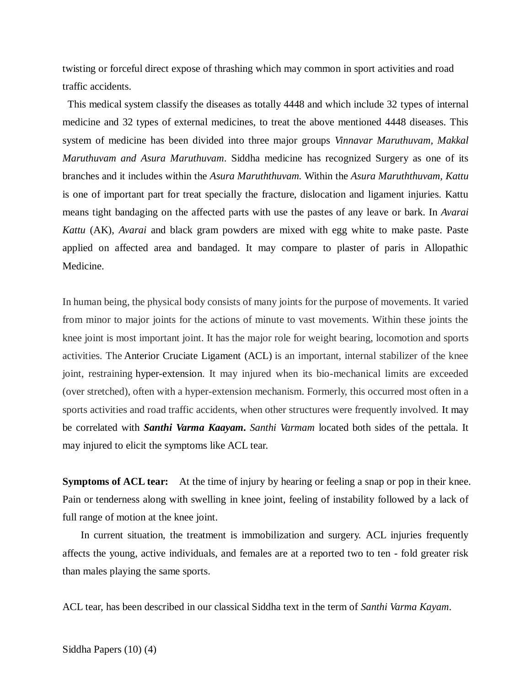twisting or forceful direct expose of thrashing which may common in sport activities and road traffic accidents.

This medical system classify the diseases as totally 4448 and which include 32 types of internal medicine and 32 types of external medicines, to treat the above mentioned 4448 diseases. This system of medicine has been divided into three major groups *Vinnavar Maruthuvam, Makkal Maruthuvam and Asura Maruthuvam*. Siddha medicine has recognized Surgery as one of its branches and it includes within the *Asura Maruththuvam.* Within the *Asura Maruththuvam, Kattu* is one of important part for treat specially the fracture, dislocation and ligament injuries. Kattu means tight bandaging on the affected parts with use the pastes of any leave or bark. In *Avarai Kattu* (AK), *Avarai* and black gram powders are mixed with egg white to make paste. Paste applied on affected area and bandaged. It may compare to plaster of paris in Allopathic Medicine.

In human being, the physical body consists of many joints for the purpose of movements. It varied from minor to major joints for the actions of minute to vast movements. Within these joints the knee joint is most important joint. It has the major role for weight bearing, locomotion and sports activities. The [Anterior Cruciate Ligament \(](https://en.wikipedia.org/wiki/Anterior_cruciate_ligament)ACL) is an important, internal stabilizer of the knee joint, restraining [hyper-extension.](https://en.wikipedia.org/wiki/Anatomical_terms_of_motion#Flexion_and_extension) It may injured when its bio-mechanical limits are exceeded (over stretched), often with a hyper-extension mechanism. Formerly, this occurred most often in a sports activities and road traffic accidents, when other structures were frequently involved. It may be correlated with *Santhi Varma Kaayam***.** *Santhi Varmam* located both sides of the pettala. It may injured to elicit the symptoms like ACL tear.

**Symptoms of ACL tear:** At the time of injury by hearing or feeling a snap or pop in their knee. Pain or tenderness along with swelling in knee joint, feeling of instability followed by a lack of full range of motion at the knee joint.

In current situation, the treatment is immobilization and surgery. ACL injuries frequently affects the young, active individuals, and females are at a reported two to ten - fold greater risk than males playing the same sports.

ACL tear, has been described in our classical Siddha text in the term of *Santhi Varma Kayam*.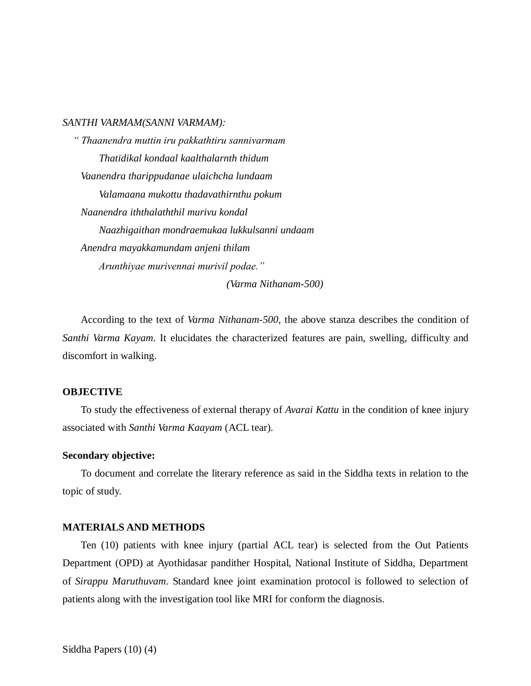#### *SANTHI VARMAM(SANNI VARMAM):*

 *" Thaanendra muttin iru pakkathtiru sannivarmam Thatidikal kondaal kaalthalarnth thidum Vaanendra tharippudanae ulaichcha lundaam Valamaana mukottu thadavathirnthu pokum Naanendra iththalaththil murivu kondal Naazhigaithan mondraemukaa lukkulsanni undaam Anendra mayakkamundam anjeni thilam Arunthiyae murivennai murivil podae."*

*(Varma Nithanam-500)*

According to the text of *Varma Nithanam-500,* the above stanza describes the condition of *Santhi Varma Kayam*. It elucidates the characterized features are pain, swelling, difficulty and discomfort in walking.

## **OBJECTIVE**

To study the effectiveness of external therapy of *Avarai Kattu* in the condition of knee injury associated with *Santhi Varma Kaayam* (ACL tear).

#### **Secondary objective:**

To document and correlate the literary reference as said in the Siddha texts in relation to the topic of study.

## **MATERIALS AND METHODS**

Ten (10) patients with knee injury (partial ACL tear) is selected from the Out Patients Department (OPD) at Ayothidasar pandither Hospital, National Institute of Siddha, Department of *Sirappu Maruthuvam*. Standard knee joint examination protocol is followed to selection of patients along with the investigation tool like MRI for conform the diagnosis.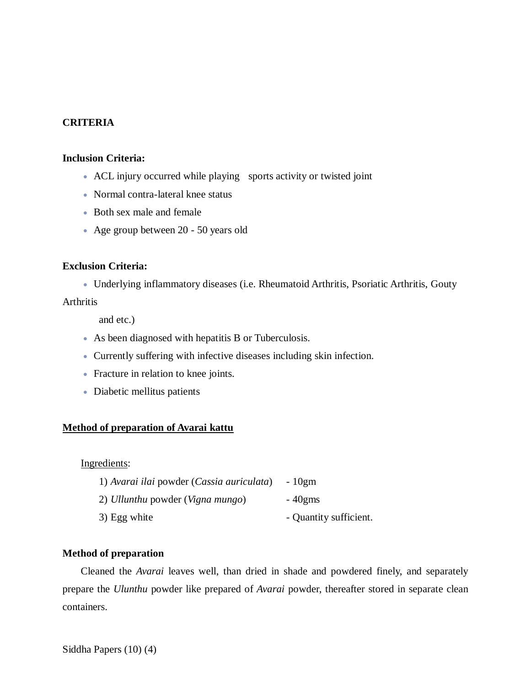# **CRITERIA**

#### **Inclusion Criteria:**

- ACL injury occurred while playing sports activity or twisted joint
- Normal contra-lateral knee status
- Both sex male and female
- Age group between 20 50 years old

# **Exclusion Criteria:**

Underlying inflammatory diseases (i.e. Rheumatoid Arthritis, Psoriatic Arthritis, Gouty

# Arthritis

and etc.)

- As been diagnosed with hepatitis B or Tuberculosis.
- Currently suffering with infective diseases including skin infection.
- Fracture in relation to knee joints.
- Diabetic mellitus patients

# **Method of preparation of Avarai kattu**

# Ingredients:

| 1) Avarai ilai powder (Cassia auriculata) | - 10gm                 |
|-------------------------------------------|------------------------|
| 2) Ullunthu powder (Vigna mungo)          | $-40$ gms              |
| 3) Egg white                              | - Quantity sufficient. |

#### **Method of preparation**

Cleaned the *Avarai* leaves well, than dried in shade and powdered finely, and separately prepare the *Ulunthu* powder like prepared of *Avarai* powder, thereafter stored in separate clean containers.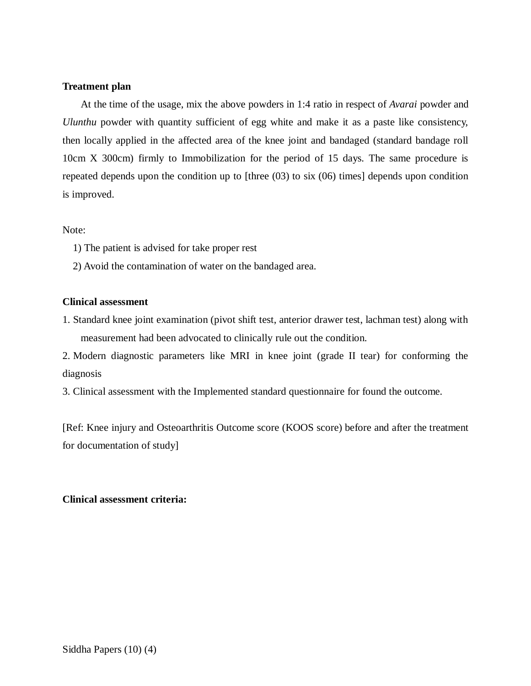## **Treatment plan**

At the time of the usage, mix the above powders in 1:4 ratio in respect of *Avarai* powder and *Ulunthu* powder with quantity sufficient of egg white and make it as a paste like consistency, then locally applied in the affected area of the knee joint and bandaged (standard bandage roll 10cm X 300cm) firmly to Immobilization for the period of 15 days. The same procedure is repeated depends upon the condition up to [three (03) to six (06) times] depends upon condition is improved.

Note:

- 1) The patient is advised for take proper rest
- 2) Avoid the contamination of water on the bandaged area.

## **Clinical assessment**

1. Standard knee joint examination (pivot shift test, anterior drawer test, lachman test) along with measurement had been advocated to clinically rule out the condition.

2. Modern diagnostic parameters like MRI in knee joint (grade II tear) for conforming the diagnosis

3. Clinical assessment with the Implemented standard questionnaire for found the outcome.

[Ref: Knee injury and Osteoarthritis Outcome score (KOOS score) before and after the treatment for documentation of study]

# **Clinical assessment criteria:**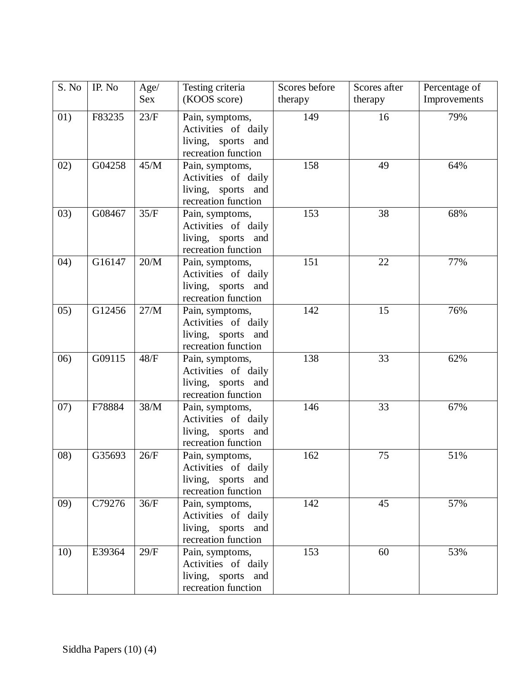| S. No | IP. No | Age/ | Testing criteria                                                                    | Scores before | Scores after | Percentage of |
|-------|--------|------|-------------------------------------------------------------------------------------|---------------|--------------|---------------|
|       |        | Sex  | (KOOS score)                                                                        | therapy       | therapy      | Improvements  |
| 01)   | F83235 | 23/F | Pain, symptoms,<br>Activities of daily<br>living, sports and<br>recreation function | 149           | 16           | 79%           |
| 02)   | G04258 | 45/M | Pain, symptoms,<br>Activities of daily<br>living, sports and<br>recreation function | 158           | 49           | 64%           |
| 03)   | G08467 | 35/F | Pain, symptoms,<br>Activities of daily<br>living, sports and<br>recreation function | 153           | 38           | 68%           |
| (04)  | G16147 | 20/M | Pain, symptoms,<br>Activities of daily<br>living, sports and<br>recreation function | 151           | 22           | 77%           |
| 05)   | G12456 | 27/M | Pain, symptoms,<br>Activities of daily<br>living, sports and<br>recreation function | 142           | 15           | 76%           |
| (06)  | G09115 | 48/F | Pain, symptoms,<br>Activities of daily<br>living, sports and<br>recreation function | 138           | 33           | 62%           |
| 07)   | F78884 | 38/M | Pain, symptoms,<br>Activities of daily<br>living, sports and<br>recreation function | 146           | 33           | 67%           |
| (08)  | G35693 | 26/F | Pain, symptoms,<br>Activities of daily<br>living, sports and<br>recreation function | 162           | 75           | 51%           |
| (09)  | C79276 | 36/F | Pain, symptoms,<br>Activities of daily<br>living, sports and<br>recreation function | 142           | 45           | 57%           |
| 10)   | E39364 | 29/F | Pain, symptoms,<br>Activities of daily<br>living, sports and<br>recreation function | 153           | 60           | 53%           |